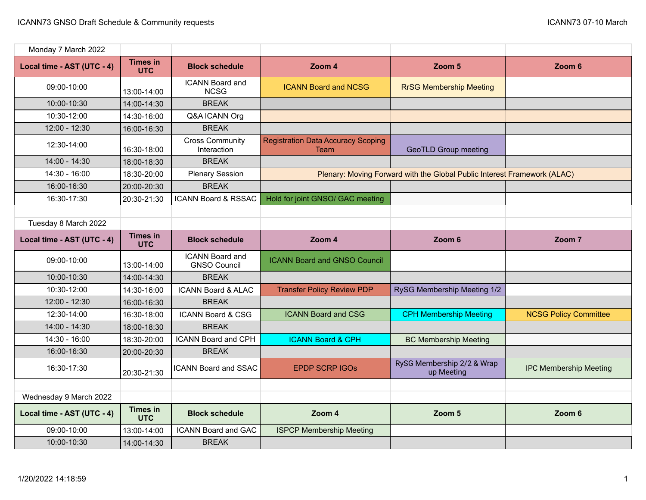| Monday 7 March 2022        |                               |                                               |                                                                          |                                          |                               |
|----------------------------|-------------------------------|-----------------------------------------------|--------------------------------------------------------------------------|------------------------------------------|-------------------------------|
| Local time - AST (UTC - 4) | <b>Times in</b><br><b>UTC</b> | <b>Block schedule</b>                         | Zoom 4                                                                   | Zoom 5                                   | Zoom 6                        |
| 09:00-10:00                | 13:00-14:00                   | <b>ICANN Board and</b><br><b>NCSG</b>         | <b>ICANN Board and NCSG</b>                                              | <b>RrSG Membership Meeting</b>           |                               |
| 10:00-10:30                | 14:00-14:30                   | <b>BREAK</b>                                  |                                                                          |                                          |                               |
| 10:30-12:00                | 14:30-16:00                   | Q&A ICANN Org                                 |                                                                          |                                          |                               |
| 12:00 - 12:30              | 16:00-16:30                   | <b>BREAK</b>                                  |                                                                          |                                          |                               |
| 12:30-14:00                | 16:30-18:00                   | <b>Cross Community</b><br>Interaction         | <b>Registration Data Accuracy Scoping</b><br>Team                        | <b>GeoTLD Group meeting</b>              |                               |
| 14:00 - 14:30              | 18:00-18:30                   | <b>BREAK</b>                                  |                                                                          |                                          |                               |
| 14:30 - 16:00              | 18:30-20:00                   | <b>Plenary Session</b>                        | Plenary: Moving Forward with the Global Public Interest Framework (ALAC) |                                          |                               |
| 16:00-16:30                | 20:00-20:30                   | <b>BREAK</b>                                  |                                                                          |                                          |                               |
| 16:30-17:30                | 20:30-21:30                   | <b>ICANN Board &amp; RSSAC</b>                | Hold for joint GNSO/ GAC meeting                                         |                                          |                               |
|                            |                               |                                               |                                                                          |                                          |                               |
| Tuesday 8 March 2022       |                               |                                               |                                                                          |                                          |                               |
| Local time - AST (UTC - 4) | <b>Times in</b><br><b>UTC</b> | <b>Block schedule</b>                         | Zoom 4                                                                   | Zoom 6                                   | Zoom 7                        |
| 09:00-10:00                | 13:00-14:00                   | <b>ICANN Board and</b><br><b>GNSO Council</b> | <b>ICANN Board and GNSO Council</b>                                      |                                          |                               |
| 10:00-10:30                | 14:00-14:30                   | <b>BREAK</b>                                  |                                                                          |                                          |                               |
| 10:30-12:00                | 14:30-16:00                   | <b>ICANN Board &amp; ALAC</b>                 | <b>Transfer Policy Review PDP</b>                                        | RySG Membership Meeting 1/2              |                               |
| 12:00 - 12:30              | 16:00-16:30                   | <b>BREAK</b>                                  |                                                                          |                                          |                               |
| 12:30-14:00                | 16:30-18:00                   | <b>ICANN Board &amp; CSG</b>                  | <b>ICANN Board and CSG</b>                                               | <b>CPH Membership Meeting</b>            | <b>NCSG Policy Committee</b>  |
| 14:00 - 14:30              | 18:00-18:30                   | <b>BREAK</b>                                  |                                                                          |                                          |                               |
| $14:30 - 16:00$            | 18:30-20:00                   | <b>ICANN Board and CPH</b>                    | <b>ICANN Board &amp; CPH</b>                                             | <b>BC Membership Meeting</b>             |                               |
| 16:00-16:30                | 20:00-20:30                   | <b>BREAK</b>                                  |                                                                          |                                          |                               |
| 16:30-17:30                | 20:30-21:30                   | <b>ICANN Board and SSAC</b>                   | <b>EPDP SCRP IGOS</b>                                                    | RySG Membership 2/2 & Wrap<br>up Meeting | <b>IPC Membership Meeting</b> |
|                            |                               |                                               |                                                                          |                                          |                               |
| Wednesday 9 March 2022     |                               |                                               |                                                                          |                                          |                               |
| Local time - AST (UTC - 4) | <b>Times in</b><br><b>UTC</b> | <b>Block schedule</b>                         | Zoom 4                                                                   | Zoom 5                                   | Zoom 6                        |
| 09:00-10:00                | 13:00-14:00                   | <b>ICANN Board and GAC</b>                    | <b>ISPCP Membership Meeting</b>                                          |                                          |                               |
| 10:00-10:30                | 14:00-14:30                   | <b>BREAK</b>                                  |                                                                          |                                          |                               |